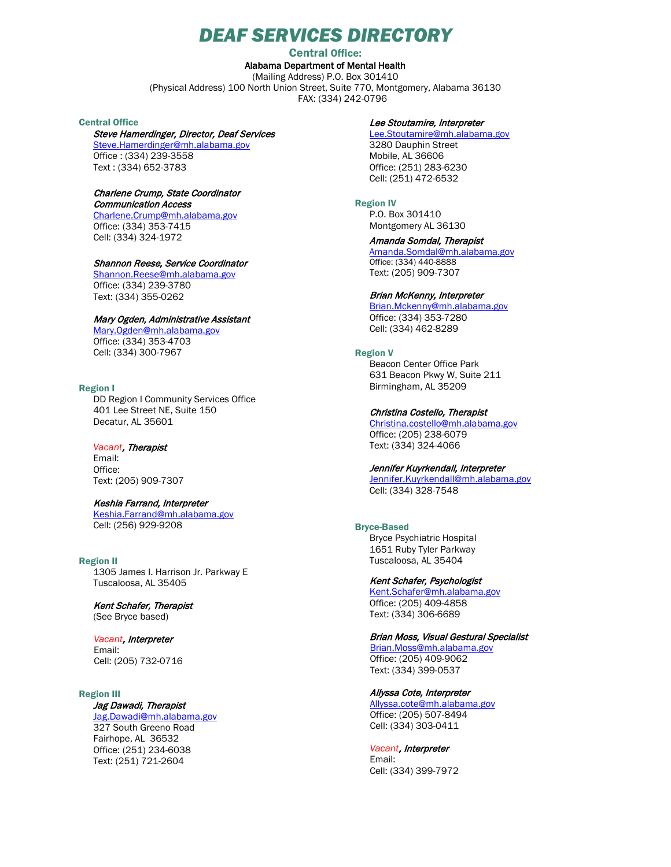# *DEAF SERVICES DIRECTORY*

Central Office:

Alabama Department of Mental Health (Mailing Address) P.O. Box 301410 (Physical Address) 100 North Union Street, Suite 770, Montgomery, Alabama 36130 FAX: (334) 242-0796

### Central Office

# Steve Hamerdinger, Director, Deaf Services

[Steve.Hamerdinger@mh.alabama.gov](mailto:Steve.Hamerdinger@mh.alabama.gov)  Office : (334) 239-3558 Text : (334) 652-3783

# Charlene Crump, State Coordinator

Communication Access [Charlene.Crump@mh.alabama.gov](mailto:Charlene.Crump@mh.alabama.gov)  Office: (334) 353-7415 Cell: (334) 324-1972

#### Shannon Reese, Service Coordinator

[Shannon.Reese@mh.alabama.gov](mailto:Shannon.Reese@mh.alabama.gov)  Office: (334) 239-3780 Text: (334) 355-0262

## Mary Ogden, Administrative Assistant

[Mary.Ogden@mh.alabama.gov](mailto:Mary.Ogden@mh.alabama.gov) Office: (334) 353-4703 Cell: (334) 300-7967

### Region I

DD Region I Community Services Office 401 Lee Street NE, Suite 150 Decatur, AL 35601

#### *Vacant*, Therapist

Email: Office: Text: (205) 909-7307

### Keshia Farrand, Interpreter

[Keshia.Farrand@mh.alabama.gov](mailto:Keshia.Farrand@mh.alabama.gov)  Cell: (256) 929-9208

Region II 1305 James I. Harrison Jr. Parkway E Tuscaloosa, AL 35405

#### Kent Schafer, Therapist (See Bryce based)

# *Vacant*, Interpreter

Email: Cell: (205) 732-0716

#### Region III

# Jag Dawadi, Therapist

[Jag.Dawadi@mh.alabama.gov](mailto:Jag.Dawadi@mh.alabama.gov) 327 South Greeno Road Fairhope, AL 36532 Office: (251) 234-6038 Text: (251) 721-2604

#### Lee Stoutamire, Interpreter

[Lee.Stoutamire@mh.alabama.gov](mailto:Lee.Stoutamire@mh.alabama.gov)  3280 Dauphin Street Mobile, AL 36606 Office: (251) 283-6230 Cell: (251) 472-6532

#### Region IV

P.O. Box 301410 Montgomery AL 36130

# Amanda Somdal, Therapist

[Amanda.Somdal@mh.alabama.gov](mailto:Amanda.Somdal@mh.alabama.gov)  Office: (334) 440-8888 Text: (205) 909-7307

#### Brian McKenny, Interpreter

[Brian.Mckenny@mh.alabama.gov](mailto:Brian.Mckenny@mh.alabama.gov)  Office: (334) 353-7280 Cell: (334) 462-8289

#### Region V

Beacon Center Office Park 631 Beacon Pkwy W, Suite 211 Birmingham, AL 35209

#### Christina Costello, Therapist

[Christina.costello@mh.alabama.gov](mailto:Christina.costello@mh.alabama.gov) Office: (205) 238-6079 Text: (334) 324-4066

## Jennifer Kuyrkendall, Interpreter

[Jennifer.Kuyrkendall@mh.alabama.gov](mailto:Jennifer.Kuyrkendall@mh.alabama.gov) Cell: (334) 328-7548

#### Bryce-Based

Bryce Psychiatric Hospital 1651 Ruby Tyler Parkway Tuscaloosa, AL 35404

## Kent Schafer, Psychologist

[Kent.Schafer@mh.alabama.gov](mailto:Kent.Schafer@mh.alabama.gov) Office: (205) 409-4858 Text: (334) 306-6689

# Brian Moss, Visual Gestural Specialist

[Brian.Moss@mh.alabama.gov](mailto:Brian.Moss@mh.alabama.gov) Office: (205) 409-9062 Text: (334) 399-0537

#### Allyssa Cote, Interpreter

[Allyssa.cote@mh.alabama.gov](mailto:Allyssa.cote@mh.alabama.gov) Office: (205) 507-8494 Cell: (334) 303-0411

#### *Vacant*, Interpreter

Email: Cell: (334) 399-7972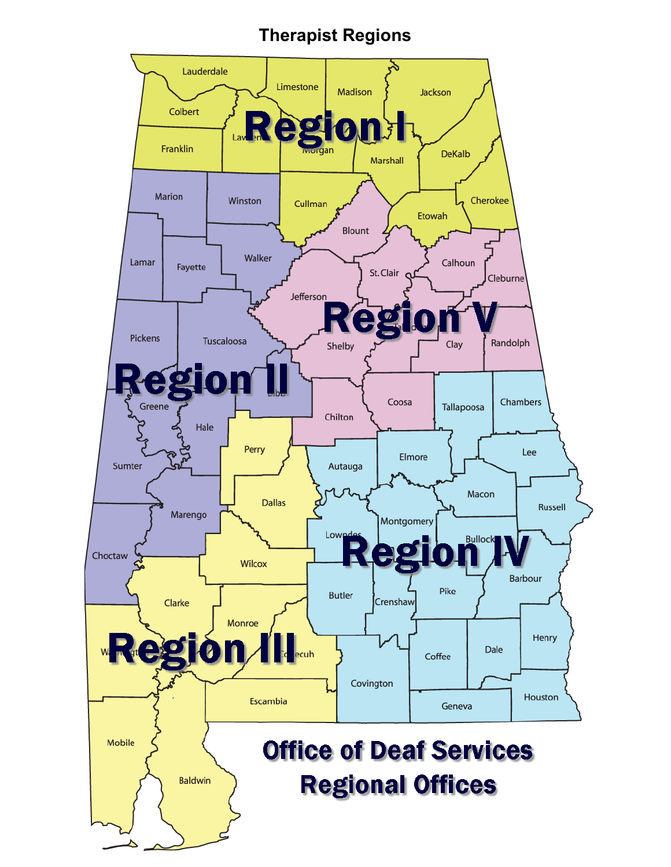# **Therapist Regions**